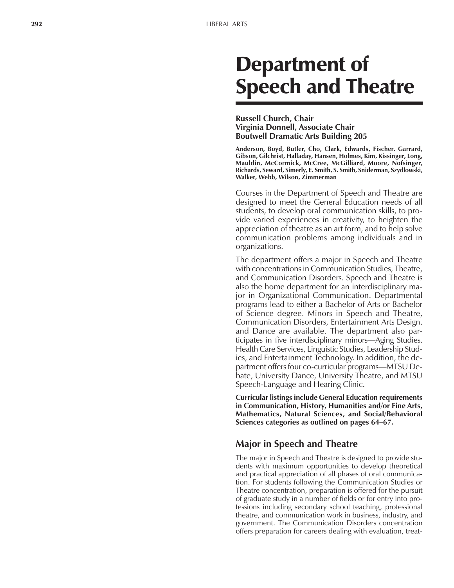# Department of Speech and Theatre

#### **Russell Church, Chair Virginia Donnell, Associate Chair Boutwell Dramatic Arts Building 205**

**Anderson, Boyd, Butler, Cho, Clark, Edwards, Fischer, Garrard, Gibson, Gilchrist, Halladay, Hansen, Holmes, Kim, Kissinger, Long, Mauldin, McCormick, McCree, McGilliard, Moore, Nofsinger, Richards, Seward, Simerly, E. Smith, S. Smith, Sniderman, Szydlowski, Walker, Webb, Wilson, Zimmerman**

Courses in the Department of Speech and Theatre are designed to meet the General Education needs of all students, to develop oral communication skills, to provide varied experiences in creativity, to heighten the appreciation of theatre as an art form, and to help solve communication problems among individuals and in organizations.

The department offers a major in Speech and Theatre with concentrations in Communication Studies, Theatre, and Communication Disorders. Speech and Theatre is also the home department for an interdisciplinary major in Organizational Communication. Departmental programs lead to either a Bachelor of Arts or Bachelor of Science degree. Minors in Speech and Theatre, Communication Disorders, Entertainment Arts Design, and Dance are available. The department also participates in five interdisciplinary minors—Aging Studies, Health Care Services, Linguistic Studies, Leadership Studies, and Entertainment Technology. In addition, the department offers four co-curricular programs—MTSU Debate, University Dance, University Theatre, and MTSU Speech-Language and Hearing Clinic.

**Curricular listings include General Education requirements in Communication, History, Humanities and/or Fine Arts, Mathematics, Natural Sciences, and Social/Behavioral Sciences categories as outlined on pages 64–67.** 

## **Major in Speech and Theatre**

The major in Speech and Theatre is designed to provide students with maximum opportunities to develop theoretical and practical appreciation of all phases of oral communication. For students following the Communication Studies or Theatre concentration, preparation is offered for the pursuit of graduate study in a number of fields or for entry into professions including secondary school teaching, professional theatre, and communication work in business, industry, and government. The Communication Disorders concentration offers preparation for careers dealing with evaluation, treat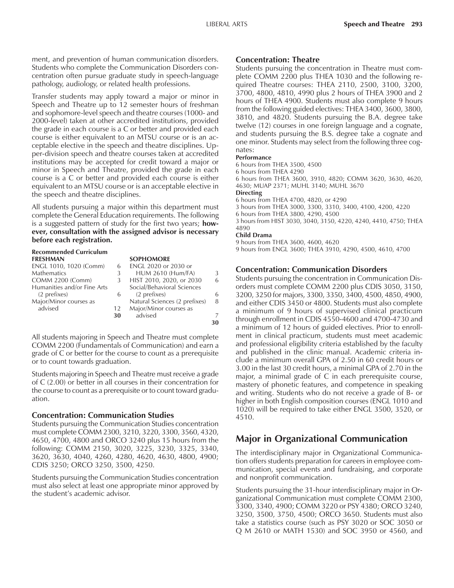ment, and prevention of human communication disorders. Students who complete the Communication Disorders concentration often pursue graduate study in speech-language pathology, audiology, or related health professions.

Transfer students may apply toward a major or minor in Speech and Theatre up to 12 semester hours of freshman and sophomore-level speech and theatre courses (1000- and 2000-level) taken at other accredited institutions, provided the grade in each course is a C or better and provided each course is either equivalent to an MTSU course or is an acceptable elective in the speech and theatre disciplines. Upper-division speech and theatre courses taken at accredited institutions may be accepted for credit toward a major or minor in Speech and Theatre, provided the grade in each course is a C or better and provided each course is either equivalent to an MTSU course or is an acceptable elective in the speech and theatre disciplines.

All students pursuing a major within this department must complete the General Education requirements. The following is a suggested pattern of study for the first two years; **however, consultation with the assigned advisor is necessary before each registration.**

## **Recommended Curriculum**

|    | <b>SOPHOMORE</b>              |    |
|----|-------------------------------|----|
| 6  | ENGL 2020 or 2030 or          |    |
| 3  | <b>HUM 2610 (Hum/FA)</b>      |    |
| 3  | HIST 2010, 2020, or 2030      | 6  |
|    | Social/Behavioral Sciences    |    |
| 6  | (2 prefixes)                  |    |
|    | Natural Sciences (2 prefixes) | 8  |
| 12 | Major/Minor courses as        |    |
| 30 | advised                       |    |
|    |                               | 30 |
|    |                               |    |

All students majoring in Speech and Theatre must complete COMM 2200 (Fundamentals of Communication) and earn a grade of C or better for the course to count as a prerequisite or to count towards graduation.

Students majoring in Speech and Theatre must receive a grade of C (2.00) or better in all courses in their concentration for the course to count as a prerequisite or to count toward graduation.

## **Concentration: Communication Studies**

Students pursuing the Communication Studies concentration must complete COMM 2300, 3210, 3220, 3300, 3560, 4320, 4650, 4700, 4800 and ORCO 3240 plus 15 hours from the following: COMM 2150, 3020, 3225, 3230, 3325, 3340, 3620, 3630, 4040, 4260, 4280, 4620, 4630, 4800, 4900; CDIS 3250; ORCO 3250, 3500, 4250.

Students pursuing the Communication Studies concentration must also select at least one appropriate minor approved by the student's academic advisor.

## **Concentration: Theatre**

Students pursuing the concentration in Theatre must complete COMM 2200 plus THEA 1030 and the following required Theatre courses: THEA 2110, 2500, 3100, 3200, 3700, 4800, 4810, 4990 plus 2 hours of THEA 3900 and 2 hours of THEA 4900. Students must also complete 9 hours from the following guided electives: THEA 3400, 3600, 3800, 3810, and 4820. Students pursuing the B.A. degree take twelve (12) courses in one foreign language and a cognate, and students pursuing the B.S. degree take a cognate and one minor. Students may select from the following three cognates:

#### **Performance**

6 hours from THEA 3500, 4500 6 hours from THEA 4290 6 hours from THEA 3600, 3910, 4820; COMM 3620, 3630, 4620, 4630; MUAP 2371; MUHL 3140; MUHL 3670 **Directing** 6 hours from THEA 4700, 4820, or 4290 3 hours from THEA 3000, 3300, 3310, 3400, 4100, 4200, 4220 6 hours from THEA 3800, 4290, 4500 3 hours from HIST 3030, 3040, 3150, 4220, 4240, 4410, 4750; THEA 4890 **Child Drama** 9 hours from THEA 3600, 4600, 4620 9 hours from ENGL 3600; THEA 3910, 4290, 4500, 4610, 4700

## **Concentration: Communication Disorders**

Students pursuing the concentration in Communication Disorders must complete COMM 2200 plus CDIS 3050, 3150, 3200, 3250 for majors, 3300, 3350, 3400, 4500, 4850, 4900, and either CDIS 3450 or 4800. Students must also complete a minimum of 9 hours of supervised clinical practicum through enrollment in CDIS 4550-4600 and 4700-4730 and a minimum of 12 hours of guided electives. Prior to enrollment in clinical practicum, students must meet academic and professional eligibility criteria established by the faculty and published in the clinic manual. Academic criteria include a minimum overall GPA of 2.50 in 60 credit hours or 3.00 in the last 30 credit hours, a minimal GPA of 2.70 in the major, a minimal grade of C in each prerequisite course, mastery of phonetic features, and competence in speaking and writing. Students who do not receive a grade of B- or higher in both English composition courses (ENGL 1010 and 1020) will be required to take either ENGL 3500, 3520, or 4510.

## **Major in Organizational Communication**

The interdisciplinary major in Organizational Communication offers students preparation for careers in employee communication, special events and fundraising, and corporate and nonprofit communication.

Students pursuing the 31-hour interdisciplinary major in Organizational Communication must complete COMM 2300, 3300, 3340, 4900; COMM 3220 or PSY 4380; ORCO 3240, 3250, 3500, 3750, 4500; ORCO 3650. Students must also take a statistics course (such as PSY 3020 or SOC 3050 or Q M 2610 or MATH 1530) and SOC 3950 or 4560, and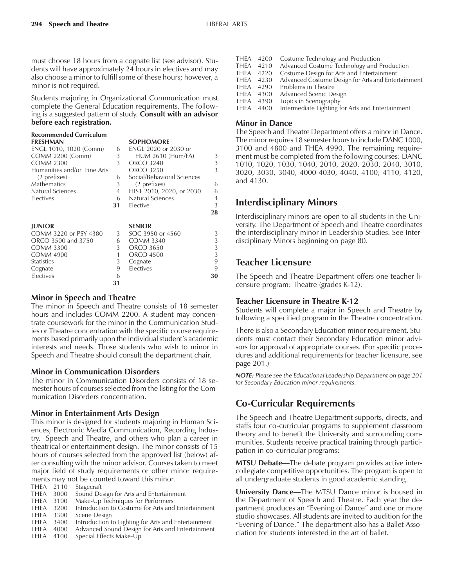must choose 18 hours from a cognate list (see advisor). Students will have approximately 24 hours in electives and may also choose a minor to fulfill some of these hours; however, a minor is not required.

Students majoring in Organizational Communication must complete the General Education requirements. The following is a suggested pattern of study. **Consult with an advisor before each registration.**

| <b>Recommended Curriculum</b>          |    |                            |                |
|----------------------------------------|----|----------------------------|----------------|
| <b>FRESHMAN</b>                        |    | <b>SOPHOMORE</b>           |                |
| ENGL 1010, 1020 (Comm)                 | 6  | ENGL 2020 or 2030 or       |                |
| <b>COMM 2200 (Comm)</b>                | 3  | <b>HUM 2610 (Hum/FA)</b>   | 3              |
| <b>COMM 2300</b>                       | 3  | <b>ORCO 3240</b>           | 3              |
| Humanities and/or Fine Arts            |    | ORCO 3250                  | 3              |
| (2 prefixes)                           | 6  | Social/Behavioral Sciences |                |
| Mathematics                            | 3  | (2 prefixes)               | 6              |
| <b>Natural Sciences</b>                | 4  | HIST 2010, 2020, or 2030   | 6              |
| Electives                              | 6  | Natural Sciences           | $\overline{4}$ |
|                                        | 31 | Elective                   | 3              |
|                                        |    |                            | 28             |
|                                        |    | <b>SENIOR</b>              |                |
| <b>JUNIOR</b><br>COMM 3220 or PSY 4380 |    | SOC 3950 or 4560           | 3              |
|                                        | 3  |                            |                |
| ORCO 3500 and 3750                     | 6  | <b>COMM 3340</b>           | 3              |
| <b>COMM 3300</b>                       | 3  | <b>ORCO 3650</b>           | 3              |
| <b>COMM 4900</b>                       | 1  | <b>ORCO 4500</b>           | 3              |
| Statistics                             | 3  | Cognate                    | 9              |
| Cognate                                | 9  | Electives                  | 9              |
| Electives                              | 6  |                            | 30             |
|                                        | 31 |                            |                |

#### **Minor in Speech and Theatre**

The minor in Speech and Theatre consists of 18 semester hours and includes COMM 2200. A student may concentrate coursework for the minor in the Communication Studies or Theatre concentration with the specific course requirements based primarily upon the individual student's academic interests and needs. Those students who wish to minor in Speech and Theatre should consult the department chair.

## **Minor in Communication Disorders**

The minor in Communication Disorders consists of 18 semester hours of courses selected from the listing for the Communication Disorders concentration.

## **Minor in Entertainment Arts Design**

This minor is designed for students majoring in Human Sciences, Electronic Media Communication, Recording Industry, Speech and Theatre, and others who plan a career in theatrical or entertainment design. The minor consists of 15 hours of courses selected from the approved list (below) after consulting with the minor advisor. Courses taken to meet major field of study requirements or other minor requirements may not be counted toward this minor.

|           |      | THEFT THEY TIOL DE COUTTLEG LOWERG LITTLE THILD.    |
|-----------|------|-----------------------------------------------------|
| THEA 2110 |      | Stagecraft                                          |
|           |      | THEA 3000 Sound Design for Arts and Entertainment   |
| THEA 3100 |      | Make-Up Techniques for Performers                   |
| THEA      | 3200 | Introduction to Costume for Arts and Entertainment  |
| THEA 3300 |      | Scene Design                                        |
| THEA      | 3400 | Introduction to Lighting for Arts and Entertainment |
| THEA      | 4000 | Advanced Sound Design for Arts and Entertainment    |
| THEA 4100 |      | Special Effects Make-Up                             |

- THEA 4200 Costume Technology and Production THEA 4210 Advanced Costume Technology and Production THEA 4220 Costume Design for Arts and Entertainment<br>THEA 4230 Advanced Costume Design for Arts and Enter Advanced Costume Design for Arts and Entertainment THEA 4290 Problems in Theatre THEA 4300 Advanced Scenic Design
- 

THEA 4390 Topics in Scenography<br>THEA 4400 Intermediate Lighting f Intermediate Lighting for Arts and Entertainment

#### **Minor in Dance**

The Speech and Theatre Department offers a minor in Dance. The minor requires 18 semester hours to include DANC 1000, 3100 and 4800 and THEA 4990. The remaining requirement must be completed from the following courses: DANC 1010, 1020, 1030, 1040, 2010, 2020, 2030, 2040, 3010, 3020, 3030, 3040, 4000-4030, 4040, 4100, 4110, 4120, and 4130.

## **Interdisciplinary Minors**

Interdisciplinary minors are open to all students in the University. The Department of Speech and Theatre coordinates the interdisciplinary minor in Leadership Studies. See Interdisciplinary Minors beginning on page 80.

## **Teacher Licensure**

The Speech and Theatre Department offers one teacher licensure program: Theatre (grades K-12).

## **Teacher Licensure in Theatre K-12**

Students will complete a major in Speech and Theatre by following a specified program in the Theatre concentration.

There is also a Secondary Education minor requirement. Students must contact their Secondary Education minor advisors for approval of appropriate courses. (For specific procedures and additional requirements for teacher licensure, see page 201.)

*NOTE: Please see the Educational Leadership Department on page 201 for Secondary Education minor requirements.*

## **Co-Curricular Requirements**

The Speech and Theatre Department supports, directs, and staffs four co-curricular programs to supplement classroom theory and to benefit the University and surrounding communities. Students receive practical training through participation in co-curricular programs:

**MTSU Debate**—The debate program provides active intercollegiate competitive opportunities. The program is open to all undergraduate students in good academic standing.

**University Dance—The MTSU Dance minor is housed in** the Department of Speech and Theatre. Each year the department produces an "Evening of Dance" and one or more studio showcases. All students are invited to audition for the "Evening of Dance." The department also has a Ballet Association for students interested in the art of ballet.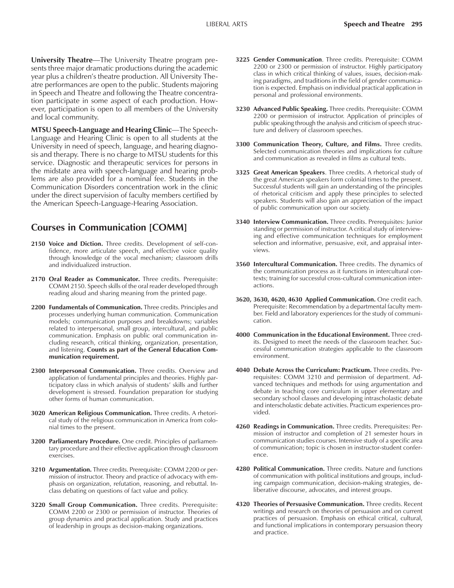**University Theatre**—The University Theatre program presents three major dramatic productions during the academic year plus a children's theatre production. All University Theatre performances are open to the public. Students majoring in Speech and Theatre and following the Theatre concentration participate in some aspect of each production. However, participation is open to all members of the University and local community.

**MTSU Speech-Language and Hearing Clinic—The Speech-**Language and Hearing Clinic is open to all students at the University in need of speech, language, and hearing diagnosis and therapy. There is no charge to MTSU students for this service. Diagnostic and therapeutic services for persons in the midstate area with speech-language and hearing problems are also provided for a nominal fee. Students in the Communication Disorders concentration work in the clinic under the direct supervision of faculty members certified by the American Speech-Language-Hearing Association.

## **Courses in Communication [COMM]**

- **2150 Voice and Diction.** Three credits. Development of self-confidence, more articulate speech, and effective voice quality through knowledge of the vocal mechanism; classroom drills and individualized instruction.
- **2170 Oral Reader as Communicator.** Three credits. Prerequisite: COMM 2150. Speech skills of the oral reader developed through reading aloud and sharing meaning from the printed page.
- **2200 Fundamentals of Communication.** Three credits. Principles and processes underlying human communication. Communication models; communication purposes and breakdowns; variables related to interpersonal, small group, intercultural, and public communication. Emphasis on public oral communication including research, critical thinking, organization, presentation, and listening. **Counts as part of the General Education Communication requirement.**
- **2300 Interpersonal Communication.** Three credits. Overview and application of fundamental principles and theories. Highly participatory class in which analysis of students' skills and further development is stressed. Foundation preparation for studying other forms of human communication.
- **3020 American Religious Communication.** Three credits. A rhetorical study of the religious communication in America from colonial times to the present.
- **3200 Parliamentary Procedure.** One credit. Principles of parliamentary procedure and their effective application through classroom exercises.
- **3210 Argumentation.** Three credits. Prerequisite: COMM 2200 or permission of instructor. Theory and practice of advocacy with emphasis on organization, refutation, reasoning, and rebuttal. Inclass debating on questions of fact value and policy.
- **3220 Small Group Communication.** Three credits. Prerequisite: COMM 2200 or 2300 or permission of instructor. Theories of group dynamics and practical application. Study and practices of leadership in groups as decision-making organizations.
- **3225 Gender Communication**. Three credits. Prerequisite: COMM 2200 or 2300 or permission of instructor. Highly participatory class in which critical thinking of values, issues, decision-making paradigms, and traditions in the field of gender communication is expected. Emphasis on individual practical application in personal and professional environments.
- **3230 Advanced Public Speaking.** Three credits. Prerequisite: COMM 2200 or permission of instructor. Application of principles of public speaking through the analysis and criticism of speech structure and delivery of classroom speeches.
- **3300 Communication Theory, Culture, and Films.** Three credits. Selected communication theories and implications for culture and communication as revealed in films as cultural texts.
- **3325 Great American Speakers**. Three credits. A rhetorical study of the great American speakers form colonial times to the present. Successful students will gain an understanding of the principles of rhetorical criticism and apply these principles to selected speakers. Students will also gain an appreciation of the impact of public communication upon our society.
- **3340 Interview Communication.** Three credits. Prerequisites: Junior standing or permission of instructor. A critical study of interviewing and effective communication techniques for employment selection and informative, persuasive, exit, and appraisal interviews.
- **3560 Intercultural Communication.** Three credits. The dynamics of the communication process as it functions in intercultural contexts; training for successful cross-cultural communication interactions.
- **3620, 3630, 4620, 4630 Applied Communication.** One credit each. Prerequisite: Recommendation by a departmental faculty member. Field and laboratory experiences for the study of communication.
- **4000 Communication in the Educational Environment.** Three credits. Designed to meet the needs of the classroom teacher. Successful communication strategies applicable to the classroom environment.
- **4040 Debate Across the Curriculum: Practicum.** Three credits. Prerequisites: COMM 3210 and permission of department. Advanced techniques and methods for using argumentation and debate in teaching core curriculum in upper elementary and secondary school classes and developing intrascholastic debate and interscholastic debate activities. Practicum experiences provided.
- **4260 Readings in Communication.** Three credits. Prerequisites: Permission of instructor and completion of 21 semester hours in communication studies courses. Intensive study of a specific area of communication; topic is chosen in instructor-student conference.
- **4280 Political Communication.** Three credits. Nature and functions of communication with political institutions and groups, including campaign communication, decision-making strategies, deliberative discourse, advocates, and interest groups.
- **4320 Theories of Persuasive Communication.** Three credits. Recent writings and research on theories of persuasion and on current practices of persuasion. Emphasis on ethical critical, cultural, and functional implications in contemporary persuasion theory and practice.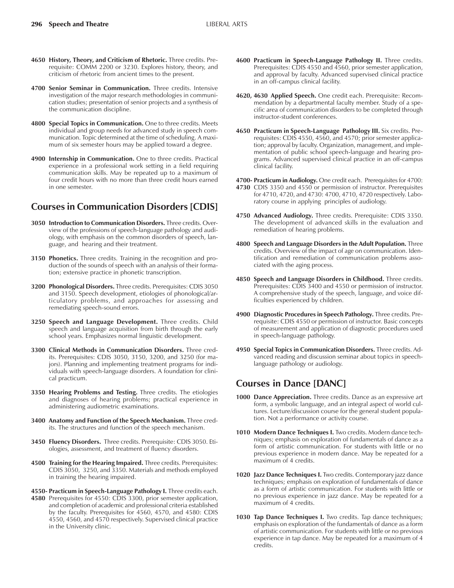- **4650 History, Theory, and Criticism of Rhetoric.** Three credits. Prerequisite: COMM 2200 or 3230. Explores history, theory, and criticism of rhetoric from ancient times to the present.
- **4700 Senior Seminar in Communication.** Three credits. Intensive investigation of the major research methodologies in communication studies; presentation of senior projects and a synthesis of the communication discipline.
- **4800 Special Topics in Communication.** One to three credits. Meets individual and group needs for advanced study in speech communication. Topic determined at the time of scheduling. A maximum of six semester hours may be applied toward a degree.
- **4900 Internship in Communication.** One to three credits. Practical experience in a professional work setting in a field requiring communication skills. May be repeated up to a maximum of four credit hours with no more than three credit hours earned in one semester.

## **Courses in Communication Disorders [CDIS]**

- **3050 Introduction to Communication Disorders.** Three credits. Overview of the professions of speech-language pathology and audiology, with emphasis on the common disorders of speech, language, and hearing and their treatment.
- **3150 Phonetics.** Three credits. Training in the recognition and production of the sounds of speech with an analysis of their formation; extensive practice in phonetic transcription.
- **3200 Phonological Disorders.** Three credits. Prerequisites: CDIS 3050 and 3150. Speech development, etiologies of phonological/articulatory problems, and approaches for assessing and remediating speech-sound errors.
- **3250 Speech and Language Development.** Three credits. Child speech and language acquisition from birth through the early school years. Emphasizes normal linguistic development.
- **3300 Clinical Methods in Communication Disorders.** Three credits. Prerequisites: CDIS 3050, 3150, 3200, and 3250 (for majors). Planning and implementing treatment programs for individuals with speech-language disorders. A foundation for clinical practicum.
- **3350 Hearing Problems and Testing.** Three credits. The etiologies and diagnoses of hearing problems; practical experience in administering audiometric examinations.
- **3400 Anatomy and Function of the Speech Mechanism.** Three credits. The structures and function of the speech mechanism.
- **3450 Fluency Disorders.** Three credits. Prerequisite: CDIS 3050. Etiologies, assessment, and treatment of fluency disorders.
- **4500 Training for the Hearing Impaired.** Three credits. Prerequisites: CDIS 3050, 3250, and 3350. Materials and methods employed in training the hearing impaired.
- **4550- Practicum in Speech-Language Pathology I.** Three credits each. **4580** Prerequisites for 4550: CDIS 3300, prior semester application, and completion of academic and professional criteria established by the faculty. Prerequisites for 4560, 4570, and 4580: CDIS 4550, 4560, and 4570 respectively. Supervised clinical practice in the University clinic.
- **4600 Practicum in Speech-Language Pathology II.** Three credits. Prerequisites: CDIS 4550 and 4560, prior semester application, and approval by faculty. Advanced supervised clinical practice in an off-campus clinical facility.
- **4620, 4630 Applied Speech.** One credit each. Prerequisite: Recommendation by a departmental faculty member. Study of a specific area of communication disorders to be completed through instructor-student conferences.
- **4650 Practicum in Speech-Language Pathology III.** Six credits. Prerequisites: CDIS 4550, 4560, and 4570; prior semester application; approval by faculty. Organization, management, and implementation of public school speech-language and hearing programs. Advanced supervised clinical practice in an off-campus clinical facility.

**4700- Practicum in Audiology.** One credit each. Prerequisites for 4700:

- **4730** CDIS 3350 and 4550 or permission of instructor. Prerequisites for 4710, 4720, and 4730: 4700, 4710, 4720 respectively. Laboratory course in applying principles of audiology.
- **4750 Advanced Audiology.** Three credits. Prerequisite: CDIS 3350. The development of advanced skills in the evaluation and remediation of hearing problems.
- **4800 Speech and Language Disorders in the Adult Population.** Three credits. Overview of the impact of age on communication. Identification and remediation of communication problems associated with the aging process.
- **4850 Speech and Language Disorders in Childhood.** Three credits. Prerequisites: CDIS 3400 and 4550 or permission of instructor. A comprehensive study of the speech, language, and voice difficulties experienced by children.
- **4900 Diagnostic Procedures in Speech Pathology.** Three credits. Prerequisite: CDIS 4550 or permission of instructor. Basic concepts of measurement and application of diagnostic procedures used in speech-language pathology.
- **4950 Special Topics in Communication Disorders.** Three credits. Advanced reading and discussion seminar about topics in speechlanguage pathology or audiology.

## **Courses in Dance [DANC]**

- **1000 Dance Appreciation.** Three credits. Dance as an expressive art form, a symbolic language, and an integral aspect of world cultures. Lecture/discussion course for the general student population. Not a performance or activity course.
- **1010 Modern Dance Techniques I.** Two credits. Modern dance techniques; emphasis on exploration of fundamentals of dance as a form of artistic communication. For students with little or no previous experience in modern dance. May be repeated for a maximum of 4 credits.
- **1020 Jazz Dance Techniques I.** Two credits. Contemporary jazz dance techniques; emphasis on exploration of fundamentals of dance as a form of artistic communication. For students with little or no previous experience in jazz dance. May be repeated for a maximum of 4 credits.
- **1030 Tap Dance Techniques I.** Two credits. Tap dance techniques; emphasis on exploration of the fundamentals of dance as a form of artistic communication. For students with little or no previous experience in tap dance. May be repeated for a maximum of 4 credits.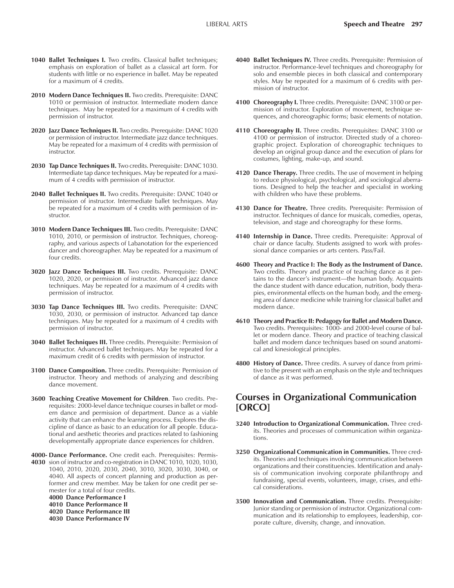- **1040 Ballet Techniques I.** Two credits. Classical ballet techniques; emphasis on exploration of ballet as a classical art form. For students with little or no experience in ballet. May be repeated for a maximum of 4 credits.
- **2010 Modern Dance Techniques II.** Two credits. Prerequisite: DANC 1010 or permission of instructor. Intermediate modern dance techniques. May be repeated for a maximum of 4 credits with permission of instructor.
- **2020 Jazz Dance Techniques II.** Two credits. Prerequisite: DANC 1020 or permission of instructor. Intermediate jazz dance techniques. May be repeated for a maximum of 4 credits with permission of instructor.
- **2030 Tap Dance Techniques II.** Two credits. Prerequisite: DANC 1030. Intermediate tap dance techniques. May be repeated for a maximum of 4 credits with permission of instructor.
- **2040 Ballet Techniques II.** Two credits. Prerequisite: DANC 1040 or permission of instructor. Intermediate ballet techniques. May be repeated for a maximum of 4 credits with permission of instructor.
- **3010 Modern Dance Techniques III.** Two credits. Prerequisite: DANC 1010, 2010, or permission of instructor. Techniques, choreography, and various aspects of Labanotation for the experienced dancer and choreographer. May be repeated for a maximum of four credits.
- **3020 Jazz Dance Techniques III.** Two credits. Prerequisite: DANC 1020, 2020, or permission of instructor. Advanced jazz dance techniques. May be repeated for a maximum of 4 credits with permission of instructor.
- **3030 Tap Dance Techniques III.** Two credits. Prerequisite: DANC 1030, 2030, or permission of instructor. Advanced tap dance techniques. May be repeated for a maximum of 4 credits with permission of instructor.
- **3040 Ballet Techniques III.** Three credits. Prerequisite: Permission of instructor. Advanced ballet techniques. May be repeated for a maximum credit of 6 credits with permission of instructor.
- **3100 Dance Composition.** Three credits. Prerequisite: Permission of instructor. Theory and methods of analyzing and describing dance movement.
- **3600 Teaching Creative Movement for Children**. Two credits. Prerequisites: 2000-level dance technique courses in ballet or modern dance and permission of department. Dance as a viable activity that can enhance the learning process. Explores the discipline of dance as basic to an education for all people. Educational and aesthetic theories and practices related to fashioning developmentally appropriate dance experiences for children.
- **4000- Dance Performance.** One credit each. Prerequisites: Permis-**4030** sion of instructor and co-registration in DANC 1010, 1020, 1030, 1040, 2010, 2020, 2030, 2040, 3010, 3020, 3030, 3040, or 4040. All aspects of concert planning and production as performer and crew member. May be taken for one credit per semester for a total of four credits.

**4000 Dance Performance I**

- **4010 Dance Performance II 4020 Dance Performance III**
- **4030 Dance Performance IV**
- **4040 Ballet Techniques IV.** Three credits. Prerequisite: Permission of instructor. Performance-level techniques and choreography for solo and ensemble pieces in both classical and contemporary styles. May be repeated for a maximum of 6 credits with permission of instructor.
- **4100 Choreography I.** Three credits. Prerequisite: DANC 3100 or permission of instructor. Exploration of movement, technique sequences, and choreographic forms; basic elements of notation.
- **4110 Choreography II.** Three credits. Prerequisites: DANC 3100 or 4100 or permission of instructor. Directed study of a choreographic project. Exploration of choreographic techniques to develop an original group dance and the execution of plans for costumes, lighting, make-up, and sound.
- **4120 Dance Therapy.** Three credits. The use of movement in helping to reduce physiological, psychological, and sociological aberrations. Designed to help the teacher and specialist in working with children who have these problems.
- **4130 Dance for Theatre.** Three credits. Prerequisite: Permission of instructor. Techniques of dance for musicals, comedies, operas, television, and stage and choreography for these forms.
- **4140 Internship in Dance.** Three credits. Prerequisite: Approval of chair or dance faculty. Students assigned to work with professional dance companies or arts centers. Pass/Fail.
- **4600 Theory and Practice I: The Body as the Instrument of Dance.** Two credits. Theory and practice of teaching dance as it pertains to the dancer's instrument—the human body. Acquaints the dance student with dance education, nutrition, body therapies, environmental effects on the human body, and the emerging area of dance medicine while training for classical ballet and modern dance.
- **4610 Theory and Practice II: Pedagogy for Ballet and Modern Dance.** Two credits. Prerequisites: 1000- and 2000-level course of ballet or modern dance. Theory and practice of teaching classical ballet and modern dance techniques based on sound anatomical and kinesiological principles.
- **4800 History of Dance.** Three credits. A survey of dance from primitive to the present with an emphasis on the style and techniques of dance as it was performed.

## **Courses in Organizational Communication [ORCO]**

- **3240 Introduction to Organizational Communication.** Three credits. Theories and processes of communication within organizations.
- **3250 Organizational Communication in Communities.** Three credits. Theories and techniques involving communication between organizations and their constituencies. Identification and analysis of communication involving corporate philanthropy and fundraising, special events, volunteers, image, crises, and ethical considerations.
- **3500 Innovation and Communication.** Three credits. Prerequisite: Junior standing or permission of instructor. Organizational communication and its relationship to employees, leadership, corporate culture, diversity, change, and innovation.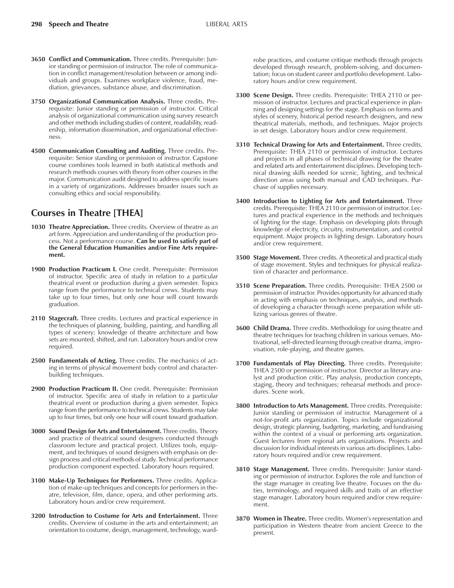- **3650 Conflict and Communication.** Three credits. Prerequisite: Junior standing or permission of instructor. The role of communication in conflict management/resolution between or among individuals and groups. Examines workplace violence, fraud, mediation, grievances, substance abuse, and discrimination.
- **3750 Organizational Communication Analysis.** Three credits. Prerequisite: Junior standing or permission of instructor. Critical analysis of organizational communication using survey research and other methods including studies of content, readability, readership, information dissemination, and organizational effectiveness.
- **4500 Communication Consulting and Auditing.** Three credits. Prerequisite: Senior standing or permission of instructor. Capstone course combines tools learned in both statistical methods and research methods courses with theory from other courses in the major. Communication audit designed to address specific issues in a variety of organizations. Addresses broader issues such as consulting ethics and social responsibility.

## **Courses in Theatre [THEA]**

- **1030 Theatre Appreciation.** Three credits. Overview of theatre as an art form. Appreciation and understanding of the production process. Not a performance course. **Can be used to satisfy part of the General Education Humanities and/or Fine Arts requirement.**
- **1900 Production Practicum I.** One credit. Prerequisite: Permission of instructor. Specific area of study in relation to a particular theatrical event or production during a given semester. Topics range from the performance to technical crews. Students may take up to four times, but only one hour will count towards graduation.
- **2110 Stagecraft.** Three credits. Lectures and practical experience in the techniques of planning, building, painting, and handling all types of scenery; knowledge of theatre architecture and how sets are mounted, shifted, and run. Laboratory hours and/or crew required.
- **2500 Fundamentals of Acting.** Three credits. The mechanics of acting in terms of physical movement body control and characterbuilding techniques.
- **2900 Production Practicum II.** One credit. Prerequisite: Permission of instructor. Specific area of study in relation to a particular theatrical event or production during a given semester. Topics range from the performance to technical crews. Students may take up to four times, but only one hour will count toward graduation.
- **3000 Sound Design for Arts and Entertainment.** Three credits. Theory and practice of theatrical sound designers conducted through classroom lecture and practical project. Utilizes tools, equipment, and techniques of sound designers with emphasis on design process and critical methods of study. Technical performance production component expected. Laboratory hours required.
- **3100 Make-Up Techniques for Performers.** Three credits. Application of make-up techniques and concepts for performers in theatre, television, film, dance, opera, and other performing arts. Laboratory hours and/or crew requirement.
- **3200 Introduction to Costume for Arts and Entertainment.** Three credits. Overview of costume in the arts and entertainment; an orientation to costume, design, management, technology, ward-

robe practices, and costume critique methods through projects developed through research, problem-solving, and documentation; focus on student career and portfolio development. Laboratory hours and/or crew requirement.

- **3300 Scene Design.** Three credits. Prerequisite: THEA 2110 or permission of instructor. Lectures and practical experience in planning and designing settings for the stage. Emphasis on forms and styles of scenery, historical period research designers, and new theatrical materials, methods, and techniques. Major projects in set design. Laboratory hours and/or crew requirement.
- **3310 Technical Drawing for Arts and Entertainment.** Three credits. Prerequisite: THEA 2110 or permission of instructor. Lectures and projects in all phases of technical drawing for the theatre and related arts and entertainment disciplines. Developing technical drawing skills needed for scenic, lighting, and technical direction areas using both manual and CAD techniques. Purchase of supplies necessary.
- **3400 Introduction to Lighting for Arts and Entertainment.** Three credits. Prerequisite: THEA 2110 or permission of instructor. Lectures and practical experience in the methods and techniques of lighting for the stage. Emphasis on developing plots through knowledge of electricity, circuitry, instrumentation, and control equipment. Major projects in lighting design. Laboratory hours and/or crew requirement.
- **3500 Stage Movement.** Three credits. A theoretical and practical study of stage movement. Styles and techniques for physical realization of character and performance.
- **3510 Scene Preparation.** Three credits. Prerequisite: THEA 2500 or permission of instructor. Provides opportunity for advanced study in acting with emphasis on techniques, analysis, and methods of developing a character through scene preparation while utilizing various genres of theatre.
- **3600 Child Drama.** Three credits. Methodology for using theatre and theatre techniques for teaching children in various venues. Motivational, self-directed learning through creative drama, improvisation, role-playing, and theatre games.
- **3700 Fundamentals of Play Directing.** Three credits. Prerequisite: THEA 2500 or permission of instructor. Director as literary analyst and production critic. Play analysis, production concepts, staging, theory and techniques; rehearsal methods and procedures. Scene work.
- **3800 Introduction to Arts Management.** Three credits. Prerequisite: Junior standing or permission of instructor. Management of a not-for-profit arts organization. Topics include organizational design, strategic planning, budgeting, marketing, and fundraising within the context of a visual or performing arts organization. Guest lecturers from regional arts organizations. Projects and discussion for individual interests in various arts disciplines. Laboratory hours required and/or crew requirement.
- **3810 Stage Management.** Three credits. Prerequisite: Junior standing or permission of instructor. Explores the role and function of the stage manager in creating live theatre. Focuses on the duties, terminology, and required skills and traits of an effective stage manager. Laboratory hours required and/or crew requirement.
- **3870 Women in Theatre.** Three credits. Womenís representation and participation in Western theatre from ancient Greece to the present.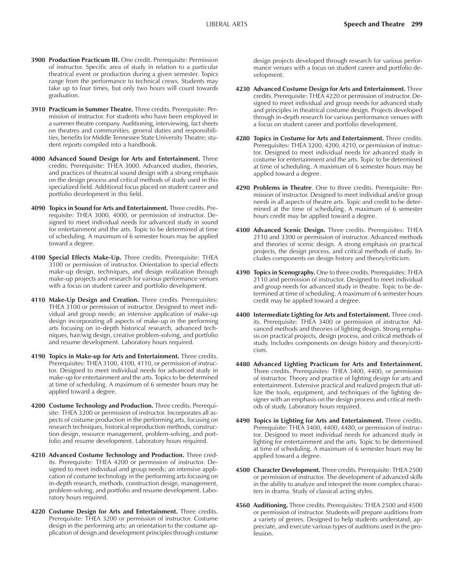- **3900 Production Practicum III.** One credit. Prerequisite: Permission of instructor. Specific area of study in relation to a particular theatrical event or production during a given semester. Topics range from the performance to technical crews. Students may take up to four times, but only two hours will count towards graduation.
- **3910 Practicum in Summer Theatre.** Three credits. Prerequisite: Permission of instructor. For students who have been employed in a summer theatre company. Auditioning, interviewing, fact sheets on theatres and communities, general duties and responsibilities, benefits for Middle Tennessee State University Theatre; student reports compiled into a handbook.
- **4000 Advanced Sound Design for Arts and Entertainment.** Three credits. Prerequisite: THEA 3000. Advanced studies, theories, and practices of theatrical sound design with a strong emphasis on the design process and critical methods of study used in this specialized field. Additional focus placed on student career and portfolio development in this field.
- **4090 Topics in Sound for Arts and Entertainment.** Three credits. Prerequisite: THEA 3000, 4000, or permission of instructor. Designed to meet individual needs for advanced study in sound for entertainment and the arts. Topic to be determined at time of scheduling. A maximum of 6 semester hours may be applied toward a degree.
- **4100 Special Effects Make-Up.** Three credits. Prerequisite: THEA 3100 or permission of instructor. Orientation to special effects make-up design, techniques, and design realization through make-up projects and research for various performance venues with a focus on student career and portfolio development.
- **4110 Make-Up Design and Creation.** Three credits. Prerequisites: THEA 3100 or permission of instructor. Designed to meet individual and group needs; an intensive application of make-up design incorporating all aspects of make-up in the performing arts focusing on in-depth historical research, advanced techniques, hair/wig design, creative problem-solving, and portfolio and resume development. Laboratory hours required.
- **4190 Topics in Make-up for Arts and Entertainment.** Three credits. Prerequisites: THEA 3100, 4100, 4110, or permission of instructor. Designed to meet individual needs for advanced study in make-up for entertainment and the arts. Topics to be determined at time of scheduling. A maximum of 6 semester hours may be applied toward a degree.
- **4200 Costume Technology and Production.** Three credits. Prerequisite: THEA 3200 or permission of instructor. Incorporates all aspects of costume production in the performing arts, focusing on research techniques, historical reproduction methods, construction design, resource management, problem-solving, and portfolio and resume development. Laboratory hours required.
- **4210 Advanced Costume Technology and Production.** Three credits. Prerequisite: THEA 4200 or permission of instructor. Designed to meet individual and group needs; an intensive application of costume technology in the performing arts focusing on in-depth research, methods, construction design, management, problem-solving, and portfolio and resume development. Laboratory hours required.
- **4220 Costume Design for Arts and Entertainment.** Three credits. Prerequisite: THEA 3200 or permission of instructor. Costume design in the performing arts; an orientation to the costume application of design and development principles through costume

design projects developed through research for various performance venues with a focus on student career and portfolio development.

- **4230 Advanced Costume Design for Arts and Entertainment.** Three credits. Prerequisite: THEA 4220 or permission of instructor. Designed to meet individual and group needs for advanced study and principles in theatrical costume design. Projects developed through in-depth research for various performance venues with a focus on student career and portfolio development.
- **4280 Topics in Costume for Arts and Entertainment.** Three credits. Prerequisites: THEA 3200, 4200, 4210, or permission of instructor. Designed to meet individual needs for advanced study in costume for entertainment and the arts. Topic to be determined at time of scheduling. A maximum of 6 semester hours may be applied toward a degree.
- **4290 Problems in Theatre**. One to three credits. Prerequisite: Permission of instructor. Designed to meet individual and/or group needs in all aspects of theatre arts. Topic and credit to be determined at the time of scheduling. A maximum of 6 semester hours credit may be applied toward a degree.
- **4300 Advanced Scenic Design.** Three credits. Prerequisites: THEA 2110 and 3300 or permission of instructor. Advanced methods and theories of scenic design. A strong emphasis on practical projects, the design process, and critical methods of study. Includes components on design history and theory/criticism.
- **4390 Topics in Scenography.** One to three credits. Prerequisites: THEA 2110 and permission of instructor. Designed to meet individual and group needs for advanced study in theatre. Topic to be determined at time of scheduling. A maximum of 6 semester hours credit may be applied toward a degree.
- **4400 Intermediate Lighting for Arts and Entertainment.** Three credits. Prerequisite: THEA 3400 or permission of instructor. Advanced methods and theories of lighting design. Strong emphasis on practical projects, design process, and critical methods of study. Includes components on design history and theory/criticism.
- **4480 Advanced Lighting Practicum for Arts and Entertainment.** Three credits. Prerequisites: THEA 3400, 4400, or permission of instructor. Theory and practice of lighting design for arts and entertainment. Extensive practical and realized projects that utilize the tools, equipment, and techniques of the lighting designer with an emphasis on the design process and critical methods of study. Laboratory hours required.
- **4490 Topics in Lighting for Arts and Entertainment.** Three credits. Prerequisite: THEA 3400, 4400, 4480, or permission of instructor. Designed to meet individual needs for advanced study in lighting for entertainment and the arts. Topic to be determined at time of scheduling. A maximum of 6 semester hours may be applied toward a degree.
- **4500 Character Development.** Three credits. Prerequisite: THEA 2500 or permission of instructor. The development of advanced skills in the ability to analyze and interpret the more complex characters in drama. Study of classical acting styles.
- **4560 Auditioning.** Three credits. Prerequisites: THEA 2500 and 4500 or permission of instructor. Students will prepare auditions from a variety of genres. Designed to help students understand, appreciate, and execute various types of auditions used in the profession.